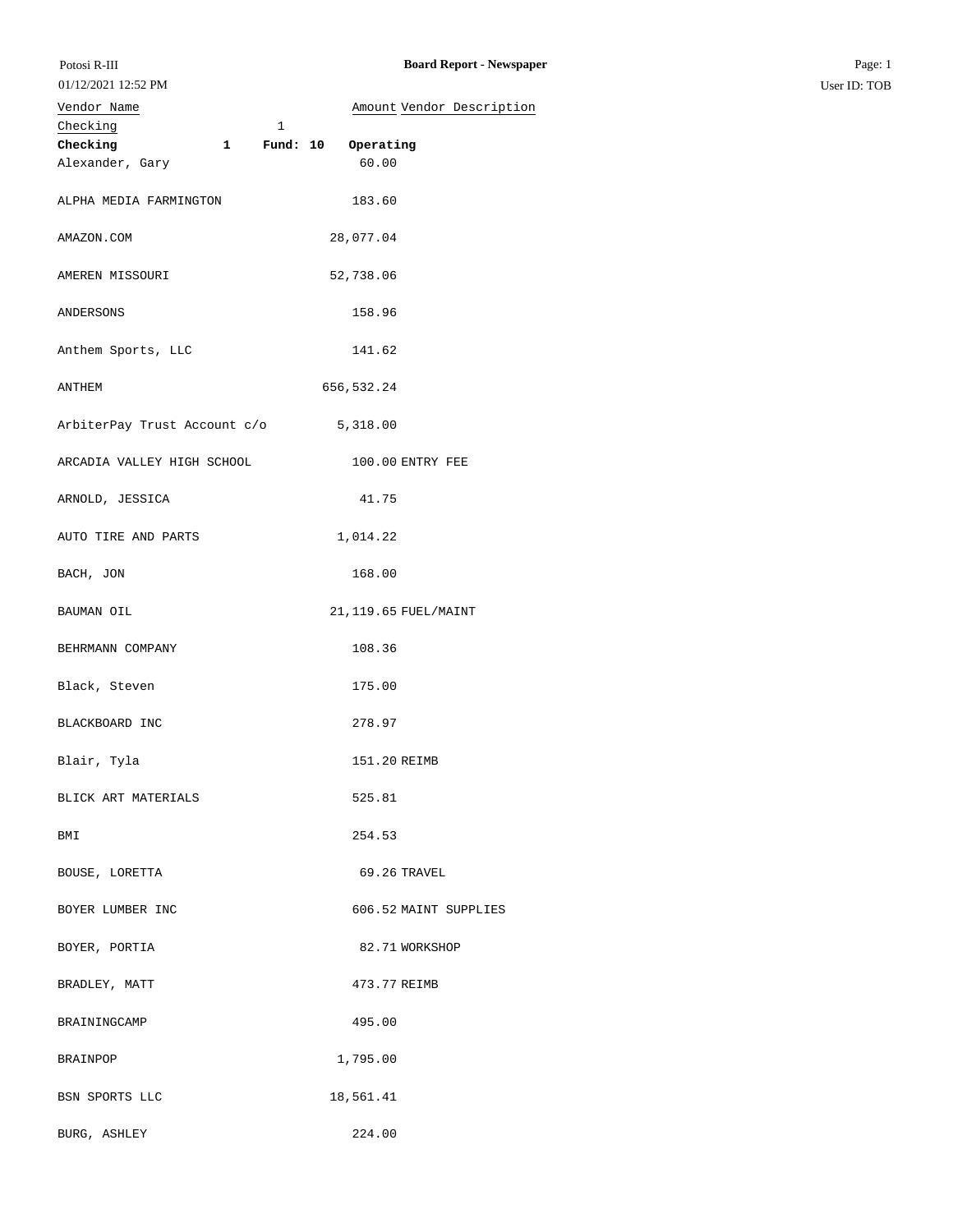| Vendor Name                                      | Amount Vendor Description |
|--------------------------------------------------|---------------------------|
| Checking<br>$1\,$                                |                           |
| Checking<br>Fund: 10<br>$\overline{\phantom{a}}$ | Operating                 |
| Alexander, Gary                                  | 60.00                     |
| ALPHA MEDIA FARMINGTON                           | 183.60                    |
| AMAZON.COM                                       | 28,077.04                 |
| AMEREN MISSOURI                                  | 52,738.06                 |
| ANDERSONS                                        | 158.96                    |
| Anthem Sports, LLC                               | 141.62                    |
| ANTHEM                                           | 656,532.24                |
| ArbiterPay Trust Account c/o 5,318.00            |                           |
| ARCADIA VALLEY HIGH SCHOOL                       | 100.00 ENTRY FEE          |
| ARNOLD, JESSICA                                  | 41.75                     |
| AUTO TIRE AND PARTS                              | 1,014.22                  |
| BACH, JON                                        | 168.00                    |
| BAUMAN OIL                                       | 21, 119.65 FUEL/MAINT     |
| BEHRMANN COMPANY                                 | 108.36                    |
| Black, Steven                                    | 175.00                    |
| BLACKBOARD INC                                   | 278.97                    |
| Blair, Tyla                                      | 151.20 REIMB              |
| BLICK ART MATERIALS                              | 525.81                    |
| BMI                                              | 254.53                    |
| BOUSE, LORETTA                                   | 69.26 TRAVEL              |
| BOYER LUMBER INC                                 | 606.52 MAINT SUPPLIES     |
| BOYER, PORTIA                                    | 82.71 WORKSHOP            |
| BRADLEY, MATT                                    | 473.77 REIMB              |
| BRAININGCAMP                                     | 495.00                    |
| BRAINPOP                                         | 1,795.00                  |
| BSN SPORTS LLC                                   | 18,561.41                 |

BURG, ASHLEY 224.00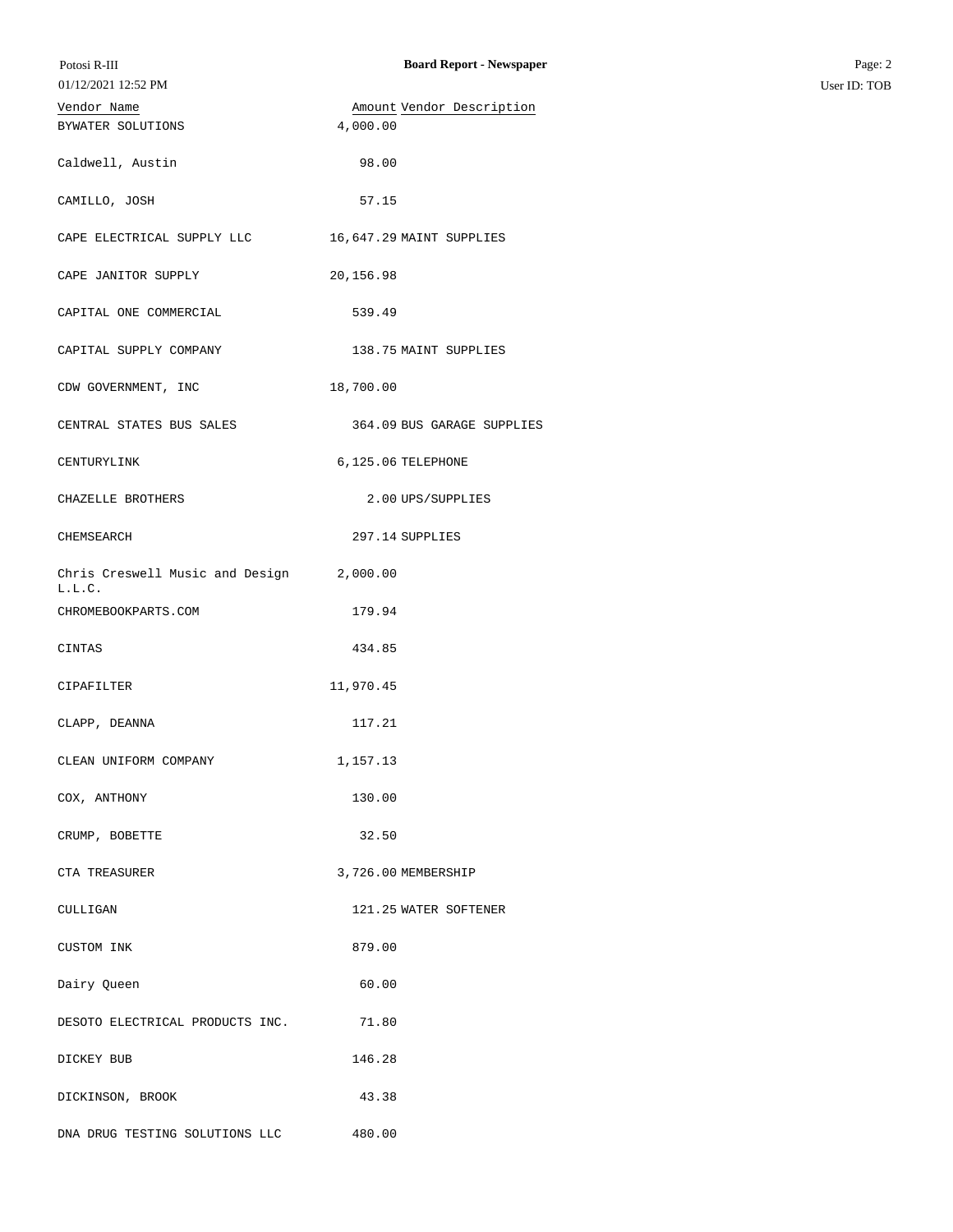| Potosi R-III<br>01/12/2021 12:52 PM       | <b>Board Report - Newspaper</b> | Page: 2<br>User ID: TOB |
|-------------------------------------------|---------------------------------|-------------------------|
| Vendor Name                               | Amount Vendor Description       |                         |
| BYWATER SOLUTIONS                         | 4,000.00                        |                         |
| Caldwell, Austin                          | 98.00                           |                         |
| CAMILLO, JOSH                             | 57.15                           |                         |
| CAPE ELECTRICAL SUPPLY LLC                | 16,647.29 MAINT SUPPLIES        |                         |
| CAPE JANITOR SUPPLY                       | 20,156.98                       |                         |
| CAPITAL ONE COMMERCIAL                    | 539.49                          |                         |
| CAPITAL SUPPLY COMPANY                    | 138.75 MAINT SUPPLIES           |                         |
| CDW GOVERNMENT, INC                       | 18,700.00                       |                         |
| CENTRAL STATES BUS SALES                  | 364.09 BUS GARAGE SUPPLIES      |                         |
| CENTURYLINK                               | 6,125.06 TELEPHONE              |                         |
| CHAZELLE BROTHERS                         | 2.00 UPS/SUPPLIES               |                         |
| CHEMSEARCH                                | 297.14 SUPPLIES                 |                         |
| Chris Creswell Music and Design<br>L.L.C. | 2,000.00                        |                         |
| CHROMEBOOKPARTS.COM                       | 179.94                          |                         |
| CINTAS                                    | 434.85                          |                         |
| CIPAFILTER                                | 11,970.45                       |                         |
| CLAPP, DEANNA                             | 117.21                          |                         |
| CLEAN UNIFORM COMPANY                     | 1,157.13                        |                         |
| COX, ANTHONY                              | 130.00                          |                         |
| CRUMP, BOBETTE                            | 32.50                           |                         |
| CTA TREASURER                             | 3,726.00 MEMBERSHIP             |                         |
| CULLIGAN                                  | 121.25 WATER SOFTENER           |                         |
| CUSTOM INK                                | 879.00                          |                         |
| Dairy Queen                               | 60.00                           |                         |
| DESOTO ELECTRICAL PRODUCTS INC.           | 71.80                           |                         |
| DICKEY BUB                                | 146.28                          |                         |
| DICKINSON, BROOK                          | 43.38                           |                         |
| DNA DRUG TESTING SOLUTIONS LLC            | 480.00                          |                         |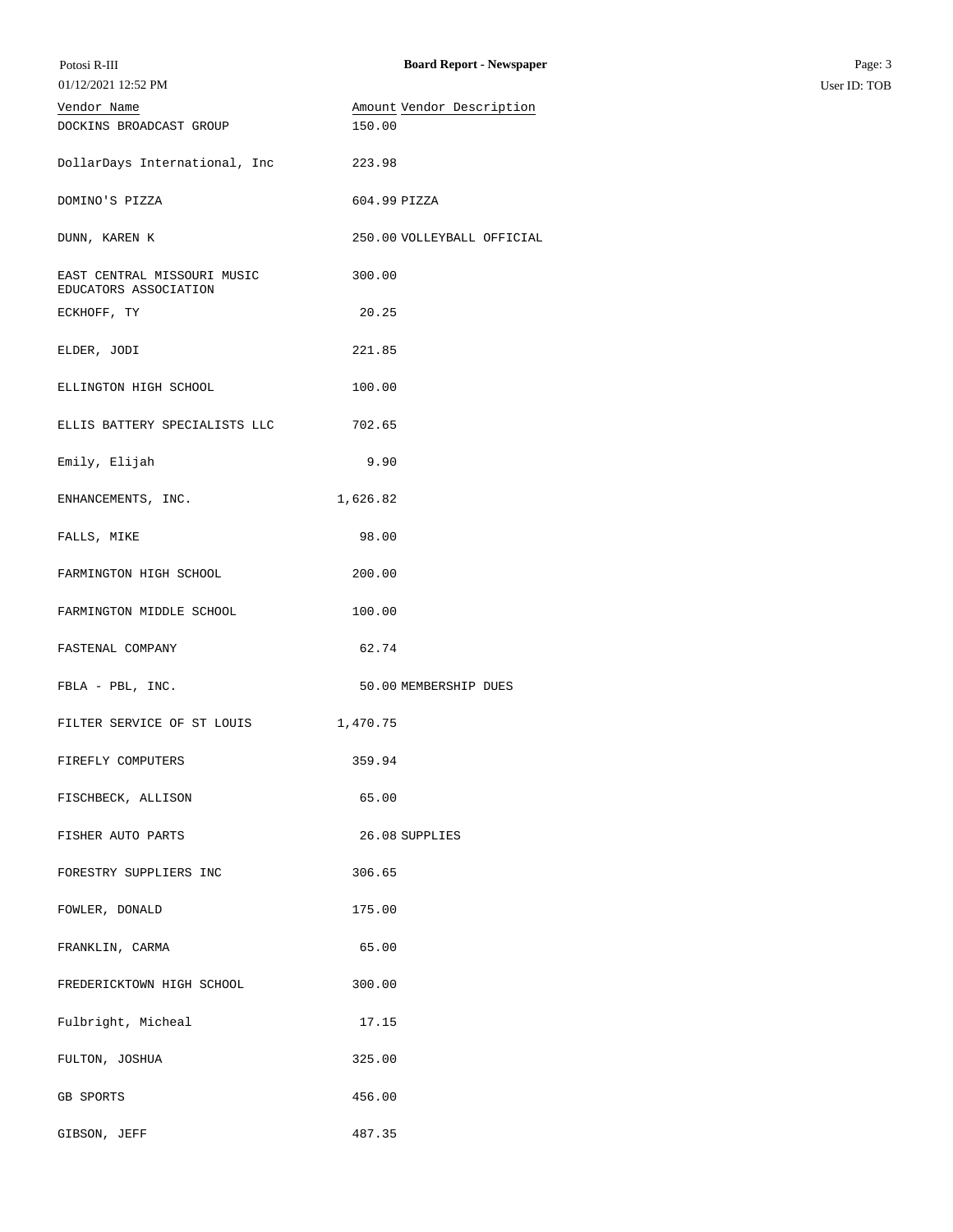| Potosi R-III                                         | <b>Board Report - Newspaper</b>     | Page: 3      |
|------------------------------------------------------|-------------------------------------|--------------|
| 01/12/2021 12:52 PM                                  |                                     | User ID: TOB |
| Vendor Name<br>DOCKINS BROADCAST GROUP               | Amount Vendor Description<br>150.00 |              |
|                                                      |                                     |              |
| DollarDays International, Inc                        | 223.98                              |              |
|                                                      |                                     |              |
| DOMINO'S PIZZA                                       | 604.99 PIZZA                        |              |
| DUNN, KAREN K                                        | 250.00 VOLLEYBALL OFFICIAL          |              |
|                                                      |                                     |              |
| EAST CENTRAL MISSOURI MUSIC<br>EDUCATORS ASSOCIATION | 300.00                              |              |
| ECKHOFF, TY                                          | 20.25                               |              |
|                                                      |                                     |              |
| ELDER, JODI                                          | 221.85                              |              |
| ELLINGTON HIGH SCHOOL                                | 100.00                              |              |
|                                                      |                                     |              |
| ELLIS BATTERY SPECIALISTS LLC                        | 702.65                              |              |
| Emily, Elijah                                        | 9.90                                |              |
|                                                      |                                     |              |
| ENHANCEMENTS, INC.                                   | 1,626.82                            |              |
|                                                      | 98.00                               |              |
| FALLS, MIKE                                          |                                     |              |
| FARMINGTON HIGH SCHOOL                               | 200.00                              |              |
|                                                      |                                     |              |
| FARMINGTON MIDDLE SCHOOL                             | 100.00                              |              |
| FASTENAL COMPANY                                     | 62.74                               |              |
|                                                      |                                     |              |
| FBLA - PBL, INC.                                     | 50.00 MEMBERSHIP DUES               |              |
| FILTER SERVICE OF ST LOUIS                           | 1,470.75                            |              |
|                                                      |                                     |              |
| FIREFLY COMPUTERS                                    | 359.94                              |              |
| FISCHBECK, ALLISON                                   | 65.00                               |              |
|                                                      |                                     |              |
| FISHER AUTO PARTS                                    | 26.08 SUPPLIES                      |              |
| FORESTRY SUPPLIERS INC                               | 306.65                              |              |
|                                                      |                                     |              |
| FOWLER, DONALD                                       | 175.00                              |              |
| FRANKLIN, CARMA                                      | 65.00                               |              |
|                                                      |                                     |              |
| FREDERICKTOWN HIGH SCHOOL                            | 300.00                              |              |
| Fulbright, Micheal                                   | 17.15                               |              |
|                                                      |                                     |              |
| FULTON, JOSHUA                                       | 325.00                              |              |
|                                                      |                                     |              |
| GB SPORTS                                            | 456.00                              |              |
| GIBSON, JEFF                                         | 487.35                              |              |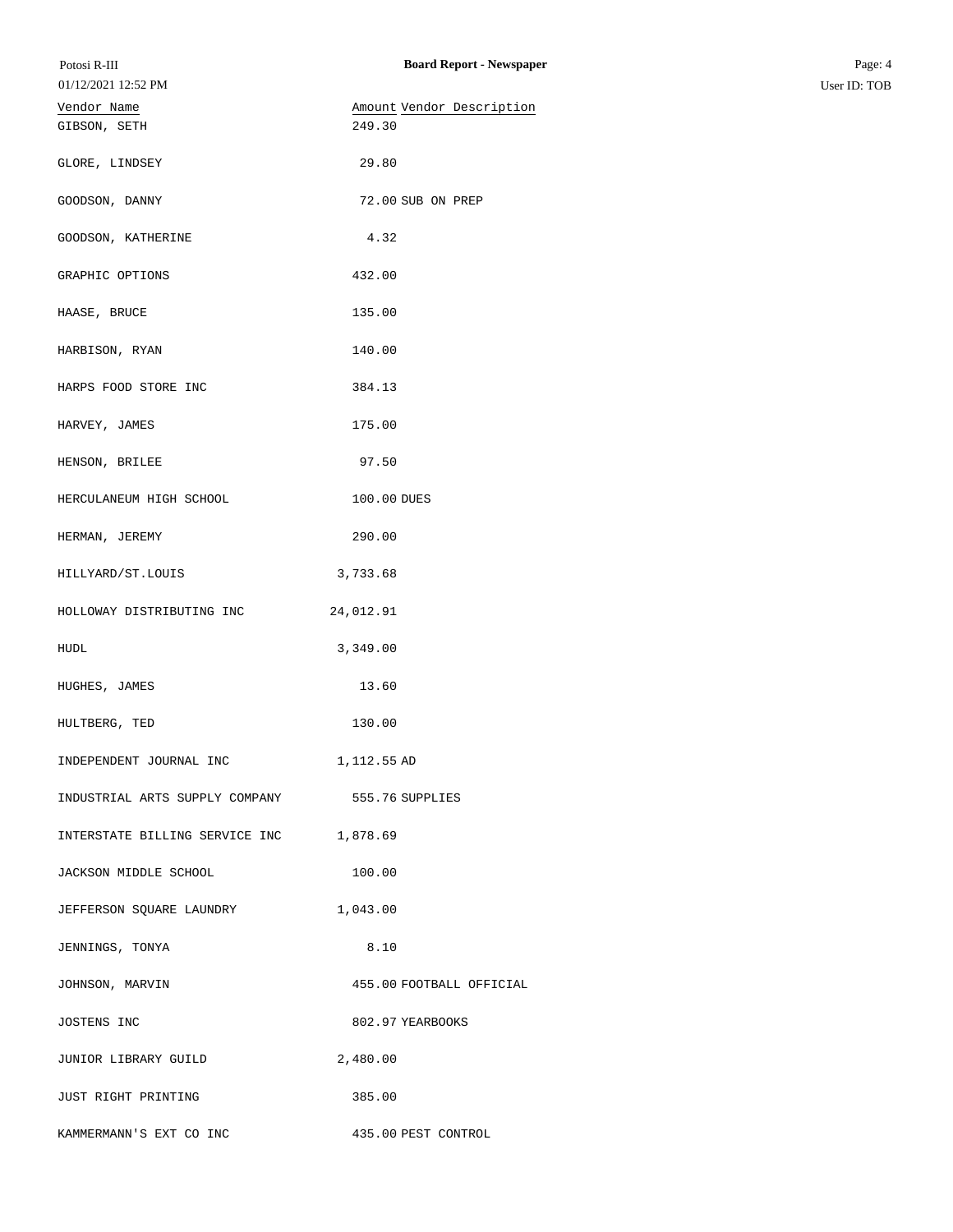| Potosi R-III<br>01/12/2021 12:52 PM | <b>Board Report - Newspaper</b> | Page: 4<br>User ID: TOB |
|-------------------------------------|---------------------------------|-------------------------|
| Vendor Name                         | Amount Vendor Description       |                         |
| GIBSON, SETH                        | 249.30                          |                         |
| GLORE, LINDSEY                      | 29.80                           |                         |
| GOODSON, DANNY                      | 72.00 SUB ON PREP               |                         |
| GOODSON, KATHERINE                  | 4.32                            |                         |
| GRAPHIC OPTIONS                     | 432.00                          |                         |
| HAASE, BRUCE                        | 135.00                          |                         |
| HARBISON, RYAN                      | 140.00                          |                         |
| HARPS FOOD STORE INC                | 384.13                          |                         |
| HARVEY, JAMES                       | 175.00                          |                         |
| HENSON, BRILEE                      | 97.50                           |                         |
| HERCULANEUM HIGH SCHOOL             | 100.00 DUES                     |                         |
| HERMAN, JEREMY                      | 290.00                          |                         |
| HILLYARD/ST.LOUIS                   | 3,733.68                        |                         |
| HOLLOWAY DISTRIBUTING INC           | 24,012.91                       |                         |
| HUDL                                | 3,349.00                        |                         |
| HUGHES, JAMES                       | 13.60                           |                         |
| HULTBERG, TED                       | 130.00                          |                         |
| INDEPENDENT JOURNAL INC             | 1,112.55 AD                     |                         |
| INDUSTRIAL ARTS SUPPLY COMPANY      | 555.76 SUPPLIES                 |                         |
| INTERSTATE BILLING SERVICE INC      | 1,878.69                        |                         |
| JACKSON MIDDLE SCHOOL               | 100.00                          |                         |
| JEFFERSON SQUARE LAUNDRY            | 1,043.00                        |                         |
| JENNINGS, TONYA                     | 8.10                            |                         |
| JOHNSON, MARVIN                     | 455.00 FOOTBALL OFFICIAL        |                         |
| JOSTENS INC                         | 802.97 YEARBOOKS                |                         |
| JUNIOR LIBRARY GUILD                | 2,480.00                        |                         |
| JUST RIGHT PRINTING                 | 385.00                          |                         |
| KAMMERMANN'S EXT CO INC             | 435.00 PEST CONTROL             |                         |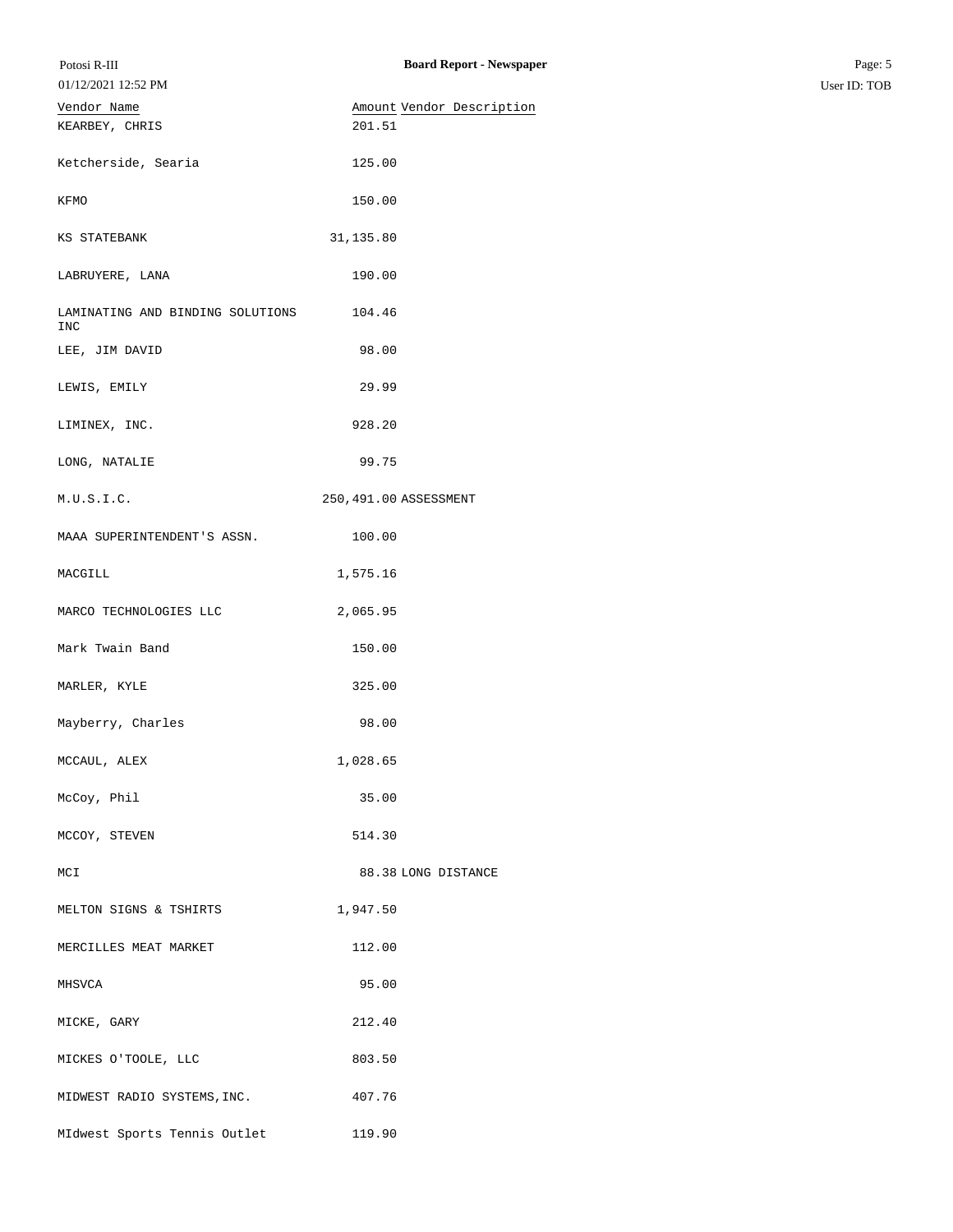| Potosi R-III<br>01/12/2021 12:52 PM     | <b>Board Report - Newspaper</b> | Page: 5<br>User ID: TOB |
|-----------------------------------------|---------------------------------|-------------------------|
| Vendor Name                             | Amount Vendor Description       |                         |
| KEARBEY, CHRIS                          | 201.51                          |                         |
| Ketcherside, Searia                     | 125.00                          |                         |
| KFMO                                    | 150.00                          |                         |
| KS STATEBANK                            | 31,135.80                       |                         |
| LABRUYERE, LANA                         | 190.00                          |                         |
| LAMINATING AND BINDING SOLUTIONS<br>INC | 104.46                          |                         |
| LEE, JIM DAVID                          | 98.00                           |                         |
| LEWIS, EMILY                            | 29.99                           |                         |
| LIMINEX, INC.                           | 928.20                          |                         |
| LONG, NATALIE                           | 99.75                           |                         |
| M.U.S.I.C.                              | 250,491.00 ASSESSMENT           |                         |
| MAAA SUPERINTENDENT'S ASSN.             | 100.00                          |                         |
| MACGILL                                 | 1,575.16                        |                         |
| MARCO TECHNOLOGIES LLC                  | 2,065.95                        |                         |
| Mark Twain Band                         | 150.00                          |                         |
| MARLER, KYLE                            | 325.00                          |                         |
| Mayberry, Charles                       | 98.00                           |                         |
| MCCAUL, ALEX                            | 1,028.65                        |                         |
| McCoy, Phil                             | 35.00                           |                         |
| MCCOY, STEVEN                           | 514.30                          |                         |
| MCI                                     | 88.38 LONG DISTANCE             |                         |
| MELTON SIGNS & TSHIRTS                  | 1,947.50                        |                         |
| MERCILLES MEAT MARKET                   | 112.00                          |                         |
| MHSVCA                                  | 95.00                           |                         |
| MICKE, GARY                             | 212.40                          |                         |
| MICKES O'TOOLE, LLC                     | 803.50                          |                         |
| MIDWEST RADIO SYSTEMS, INC.             | 407.76                          |                         |
| MIdwest Sports Tennis Outlet            | 119.90                          |                         |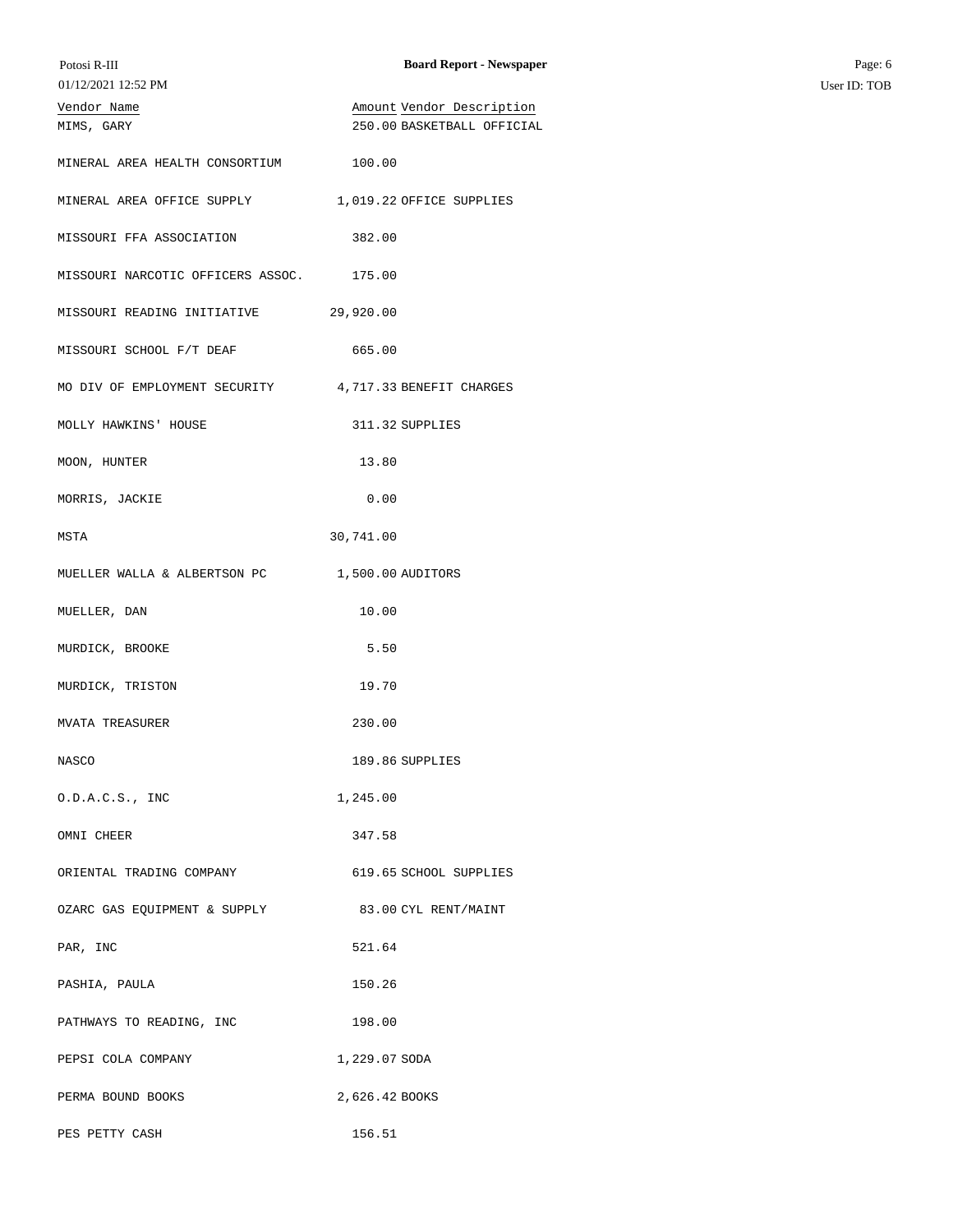| Potosi R-III<br>01/12/2021 12:52 PM | <b>Board Report - Newspaper</b> | Page: 6      |
|-------------------------------------|---------------------------------|--------------|
|                                     |                                 | User ID: TOB |
| Vendor Name                         | Amount Vendor Description       |              |
| MIMS, GARY                          | 250.00 BASKETBALL OFFICIAL      |              |
| MINERAL AREA HEALTH CONSORTIUM      | 100.00                          |              |
| MINERAL AREA OFFICE SUPPLY          | 1,019.22 OFFICE SUPPLIES        |              |
| MISSOURI FFA ASSOCIATION            | 382.00                          |              |
| MISSOURI NARCOTIC OFFICERS ASSOC.   | 175.00                          |              |
| MISSOURI READING INITIATIVE         | 29,920.00                       |              |
| MISSOURI SCHOOL F/T DEAF            | 665.00                          |              |
| MO DIV OF EMPLOYMENT SECURITY       | 4,717.33 BENEFIT CHARGES        |              |
| MOLLY HAWKINS' HOUSE                | 311.32 SUPPLIES                 |              |
| MOON, HUNTER                        | 13.80                           |              |
| MORRIS, JACKIE                      | 0.00                            |              |
| MSTA                                | 30,741.00                       |              |
| MUELLER WALLA & ALBERTSON PC        | 1,500.00 AUDITORS               |              |
| MUELLER, DAN                        | 10.00                           |              |
| MURDICK, BROOKE                     | 5.50                            |              |
| MURDICK, TRISTON                    | 19.70                           |              |
| <b>MVATA TREASURER</b>              | 230.00                          |              |
| NASCO                               | 189.86 SUPPLIES                 |              |
| 0.D.A.C.S., INC                     | 1,245.00                        |              |
| OMNI CHEER                          | 347.58                          |              |
| ORIENTAL TRADING COMPANY            | 619.65 SCHOOL SUPPLIES          |              |
| OZARC GAS EQUIPMENT & SUPPLY        | 83.00 CYL RENT/MAINT            |              |
| PAR, INC                            | 521.64                          |              |
| PASHIA, PAULA                       | 150.26                          |              |
| PATHWAYS TO READING, INC            | 198.00                          |              |
| PEPSI COLA COMPANY                  | 1,229.07 SODA                   |              |
| PERMA BOUND BOOKS                   | 2,626.42 BOOKS                  |              |
| PES PETTY CASH                      | 156.51                          |              |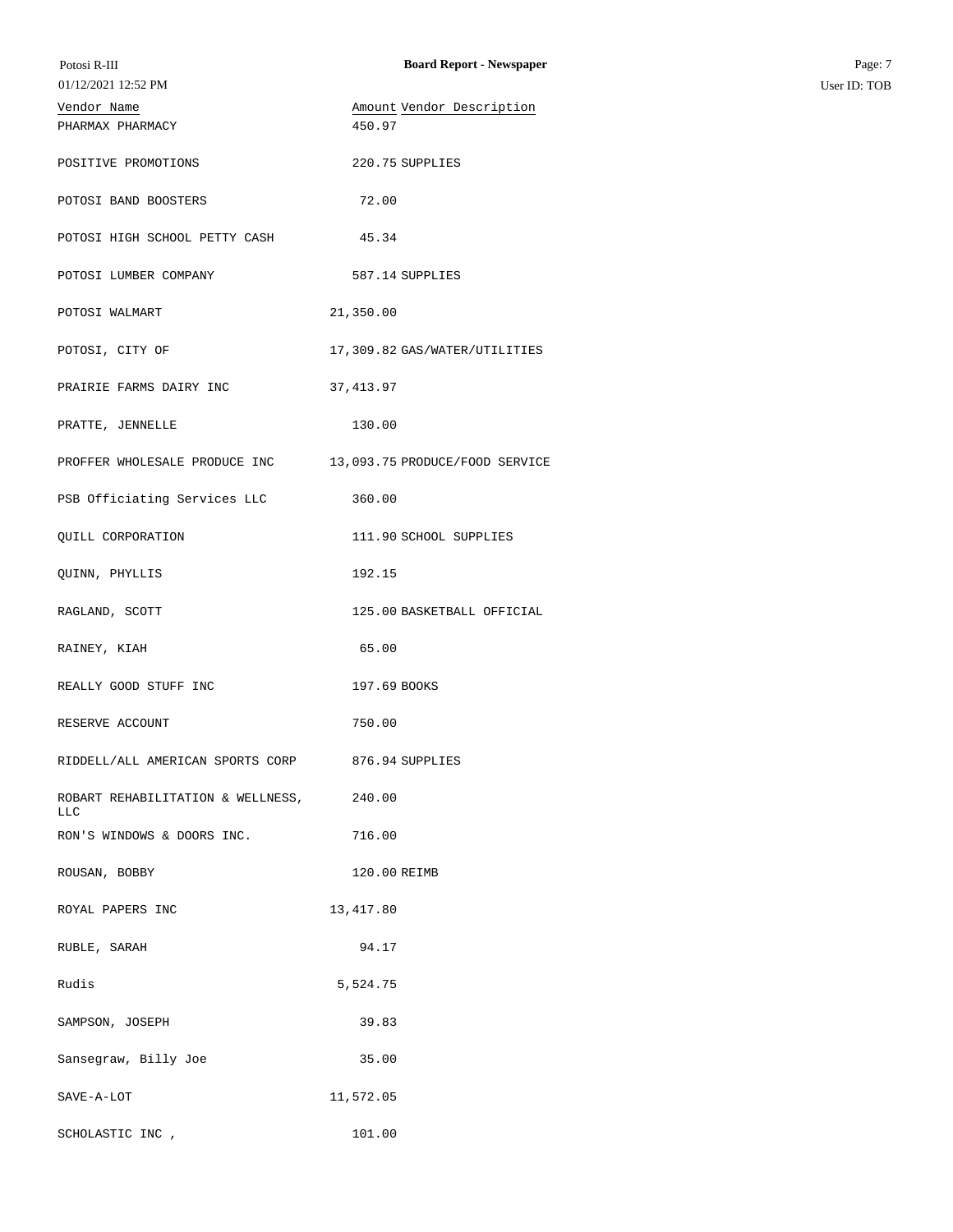| Potosi R-III                             | <b>Board Report - Newspaper</b> | Page: 7      |
|------------------------------------------|---------------------------------|--------------|
| 01/12/2021 12:52 PM                      |                                 | User ID: TOB |
| Vendor Name                              | Amount Vendor Description       |              |
| PHARMAX PHARMACY                         | 450.97                          |              |
| POSITIVE PROMOTIONS                      | 220.75 SUPPLIES                 |              |
| POTOSI BAND BOOSTERS                     | 72.00                           |              |
| POTOSI HIGH SCHOOL PETTY CASH            | 45.34                           |              |
| POTOSI LUMBER COMPANY                    | 587.14 SUPPLIES                 |              |
| POTOSI WALMART                           | 21,350.00                       |              |
| POTOSI, CITY OF                          | 17,309.82 GAS/WATER/UTILITIES   |              |
| PRAIRIE FARMS DAIRY INC                  | 37, 413.97                      |              |
| PRATTE, JENNELLE                         | 130.00                          |              |
| PROFFER WHOLESALE PRODUCE INC            | 13,093.75 PRODUCE/FOOD SERVICE  |              |
| PSB Officiating Services LLC             | 360.00                          |              |
| QUILL CORPORATION                        | 111.90 SCHOOL SUPPLIES          |              |
| QUINN, PHYLLIS                           | 192.15                          |              |
| RAGLAND, SCOTT                           | 125.00 BASKETBALL OFFICIAL      |              |
| RAINEY, KIAH                             | 65.00                           |              |
| REALLY GOOD STUFF INC                    | 197.69 BOOKS                    |              |
| RESERVE ACCOUNT                          | 750.00                          |              |
| RIDDELL/ALL AMERICAN SPORTS CORP         | 876.94 SUPPLIES                 |              |
| ROBART REHABILITATION & WELLNESS,<br>LLC | 240.00                          |              |
| RON'S WINDOWS & DOORS INC.               | 716.00                          |              |
| ROUSAN, BOBBY                            | 120.00 REIMB                    |              |
| ROYAL PAPERS INC                         | 13,417.80                       |              |
| RUBLE, SARAH                             | 94.17                           |              |
| Rudis                                    | 5,524.75                        |              |
| SAMPSON, JOSEPH                          | 39.83                           |              |
| Sansegraw, Billy Joe                     | 35.00                           |              |
| SAVE-A-LOT                               | 11,572.05                       |              |
| SCHOLASTIC INC ,                         | 101.00                          |              |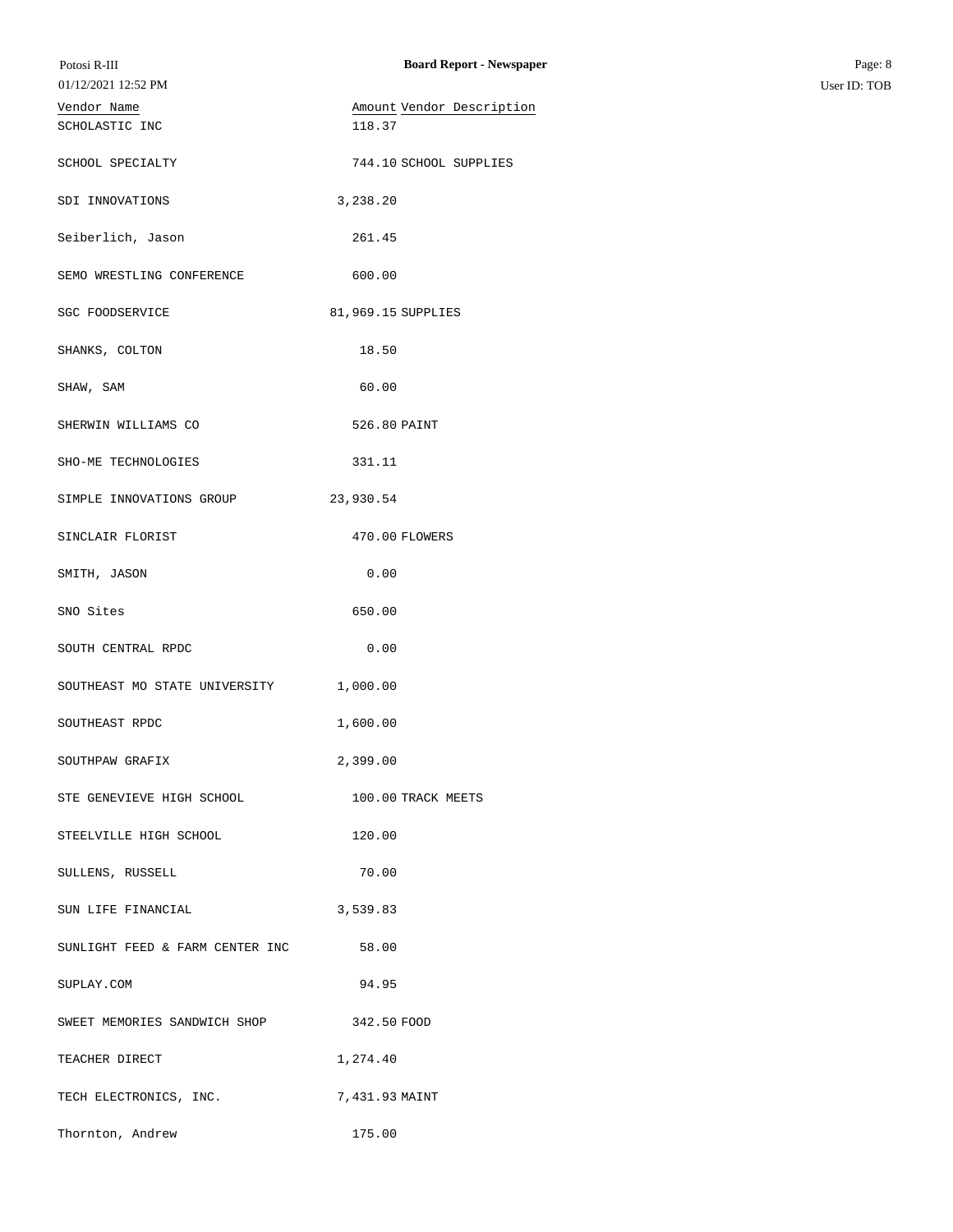| Potosi R-III<br>01/12/2021 12:52 PM | <b>Board Report - Newspaper</b> | Page: 8<br>User ID: TOB |
|-------------------------------------|---------------------------------|-------------------------|
|                                     |                                 |                         |
| Vendor Name                         | Amount Vendor Description       |                         |
| SCHOLASTIC INC                      | 118.37                          |                         |
| SCHOOL SPECIALTY                    | 744.10 SCHOOL SUPPLIES          |                         |
| SDI INNOVATIONS                     | 3,238.20                        |                         |
| Seiberlich, Jason                   | 261.45                          |                         |
| SEMO WRESTLING CONFERENCE           | 600.00                          |                         |
| SGC FOODSERVICE                     | 81,969.15 SUPPLIES              |                         |
| SHANKS, COLTON                      | 18.50                           |                         |
| SHAW, SAM                           | 60.00                           |                         |
| SHERWIN WILLIAMS CO                 | 526.80 PAINT                    |                         |
| SHO-ME TECHNOLOGIES                 | 331.11                          |                         |
| SIMPLE INNOVATIONS GROUP            | 23,930.54                       |                         |
| SINCLAIR FLORIST                    | 470.00 FLOWERS                  |                         |
| SMITH, JASON                        | 0.00                            |                         |
| SNO Sites                           | 650.00                          |                         |
| SOUTH CENTRAL RPDC                  | 0.00                            |                         |
| SOUTHEAST MO STATE UNIVERSITY       | 1,000.00                        |                         |
| SOUTHEAST RPDC                      | 1,600.00                        |                         |
| SOUTHPAW GRAFIX                     | 2,399.00                        |                         |
| STE GENEVIEVE HIGH SCHOOL           | 100.00 TRACK MEETS              |                         |
| STEELVILLE HIGH SCHOOL              | 120.00                          |                         |
| SULLENS, RUSSELL                    | 70.00                           |                         |
| SUN LIFE FINANCIAL                  | 3,539.83                        |                         |
| SUNLIGHT FEED & FARM CENTER INC     | 58.00                           |                         |
| SUPLAY.COM                          | 94.95                           |                         |
| SWEET MEMORIES SANDWICH SHOP        | 342.50 FOOD                     |                         |
| TEACHER DIRECT                      | 1,274.40                        |                         |
| TECH ELECTRONICS, INC.              | 7,431.93 MAINT                  |                         |
| Thornton, Andrew                    | 175.00                          |                         |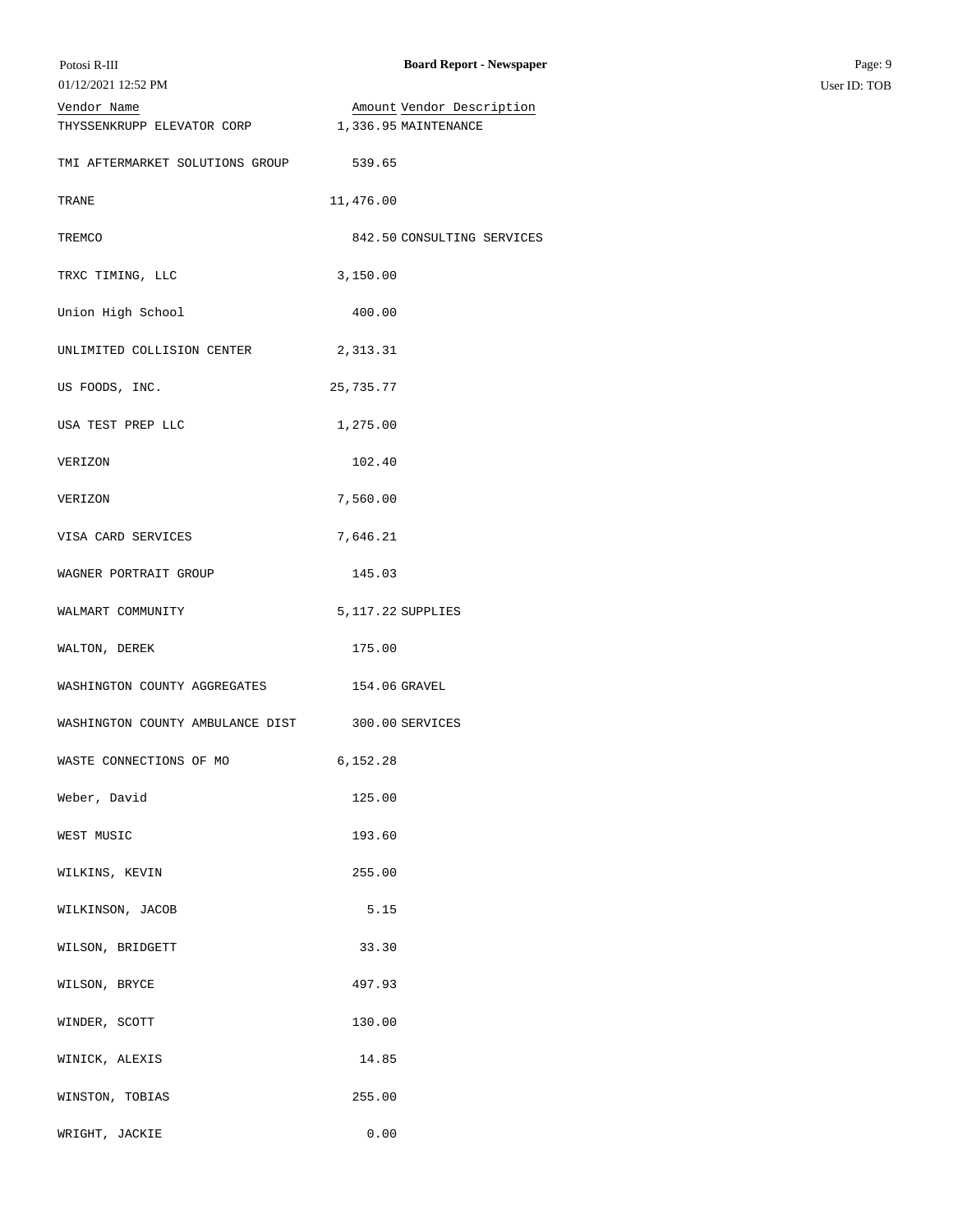| Potosi R-III<br>01/12/2021 12:52 PM | <b>Board Report - Newspaper</b> | Page: 9<br>User ID: TOB |
|-------------------------------------|---------------------------------|-------------------------|
| Vendor Name                         | Amount Vendor Description       |                         |
| THYSSENKRUPP ELEVATOR CORP          | 1,336.95 MAINTENANCE            |                         |
| TMI AFTERMARKET SOLUTIONS GROUP     | 539.65                          |                         |
| TRANE                               | 11,476.00                       |                         |
| TREMCO                              | 842.50 CONSULTING SERVICES      |                         |
| TRXC TIMING, LLC                    | 3,150.00                        |                         |
| Union High School                   | 400.00                          |                         |
| UNLIMITED COLLISION CENTER          | 2,313.31                        |                         |
| US FOODS, INC.                      | 25,735.77                       |                         |
| USA TEST PREP LLC                   | 1,275.00                        |                         |
| VERIZON                             | 102.40                          |                         |
| VERIZON                             | 7,560.00                        |                         |
| VISA CARD SERVICES                  | 7,646.21                        |                         |
| WAGNER PORTRAIT GROUP               | 145.03                          |                         |
| WALMART COMMUNITY                   | 5, 117.22 SUPPLIES              |                         |
| WALTON, DEREK                       | 175.00                          |                         |
| WASHINGTON COUNTY AGGREGATES        | 154.06 GRAVEL                   |                         |
| WASHINGTON COUNTY AMBULANCE DIST    | 300.00 SERVICES                 |                         |
| WASTE CONNECTIONS OF MO             | 6,152.28                        |                         |
| Weber, David                        | 125.00                          |                         |
| WEST MUSIC                          | 193.60                          |                         |
| WILKINS, KEVIN                      | 255.00                          |                         |
| WILKINSON, JACOB                    | 5.15                            |                         |
| WILSON, BRIDGETT                    | 33.30                           |                         |
| WILSON, BRYCE                       | 497.93                          |                         |
| WINDER, SCOTT                       | 130.00                          |                         |
| WINICK, ALEXIS                      | 14.85                           |                         |
| WINSTON, TOBIAS                     | 255.00                          |                         |
| WRIGHT, JACKIE                      | 0.00                            |                         |